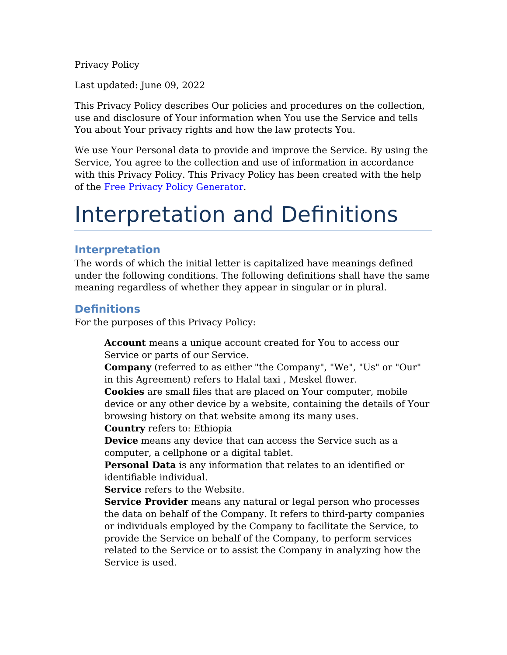Privacy Policy

Last updated: June 09, 2022

This Privacy Policy describes Our policies and procedures on the collection, use and disclosure of Your information when You use the Service and tells You about Your privacy rights and how the law protects You.

We use Your Personal data to provide and improve the Service. By using the Service, You agree to the collection and use of information in accordance with this Privacy Policy. This Privacy Policy has been created with the help of the [Free Privacy Policy Generator](https://www.freeprivacypolicy.com/free-privacy-policy-generator/).

## Interpretation and Definitions

#### **Interpretation**

The words of which the initial letter is capitalized have meanings defined under the following conditions. The following definitions shall have the same meaning regardless of whether they appear in singular or in plural.

### **Definitions**

For the purposes of this Privacy Policy:

**Account** means a unique account created for You to access our Service or parts of our Service.

**Company** (referred to as either "the Company", "We", "Us" or "Our" in this Agreement) refers to Halal taxi , Meskel flower.

**Cookies** are small files that are placed on Your computer, mobile device or any other device by a website, containing the details of Your browsing history on that website among its many uses.

**Country** refers to: Ethiopia

**Device** means any device that can access the Service such as a computer, a cellphone or a digital tablet.

**Personal Data** is any information that relates to an identified or identifiable individual.

**Service** refers to the Website.

**Service Provider** means any natural or legal person who processes the data on behalf of the Company. It refers to third-party companies or individuals employed by the Company to facilitate the Service, to provide the Service on behalf of the Company, to perform services related to the Service or to assist the Company in analyzing how the Service is used.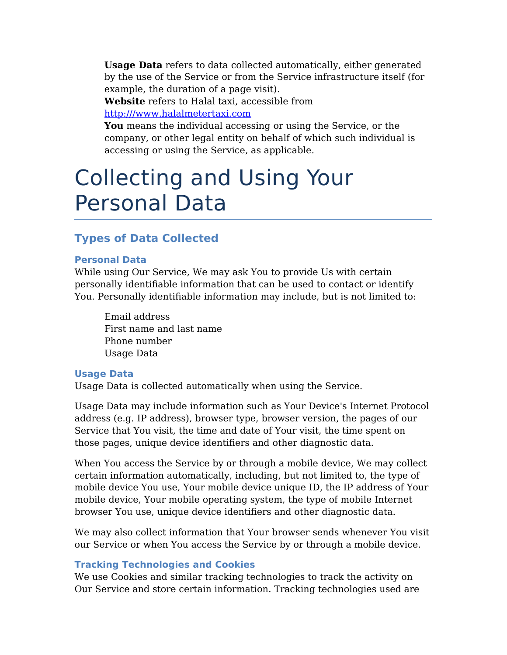**Usage Data** refers to data collected automatically, either generated by the use of the Service or from the Service infrastructure itself (for example, the duration of a page visit).

**Website** refers to Halal taxi, accessible from [http:///www.halalmetertaxi.com](./http:%2F%2F%2Fwww.halalmetertaxi.com)

**You** means the individual accessing or using the Service, or the company, or other legal entity on behalf of which such individual is accessing or using the Service, as applicable.

## Collecting and Using Your Personal Data

## **Types of Data Collected**

#### **Personal Data**

While using Our Service, We may ask You to provide Us with certain personally identifiable information that can be used to contact or identify You. Personally identifiable information may include, but is not limited to:

Email address First name and last name Phone number Usage Data

#### **Usage Data**

Usage Data is collected automatically when using the Service.

Usage Data may include information such as Your Device's Internet Protocol address (e.g. IP address), browser type, browser version, the pages of our Service that You visit, the time and date of Your visit, the time spent on those pages, unique device identifiers and other diagnostic data.

When You access the Service by or through a mobile device, We may collect certain information automatically, including, but not limited to, the type of mobile device You use, Your mobile device unique ID, the IP address of Your mobile device, Your mobile operating system, the type of mobile Internet browser You use, unique device identifiers and other diagnostic data.

We may also collect information that Your browser sends whenever You visit our Service or when You access the Service by or through a mobile device.

#### **Tracking Technologies and Cookies**

We use Cookies and similar tracking technologies to track the activity on Our Service and store certain information. Tracking technologies used are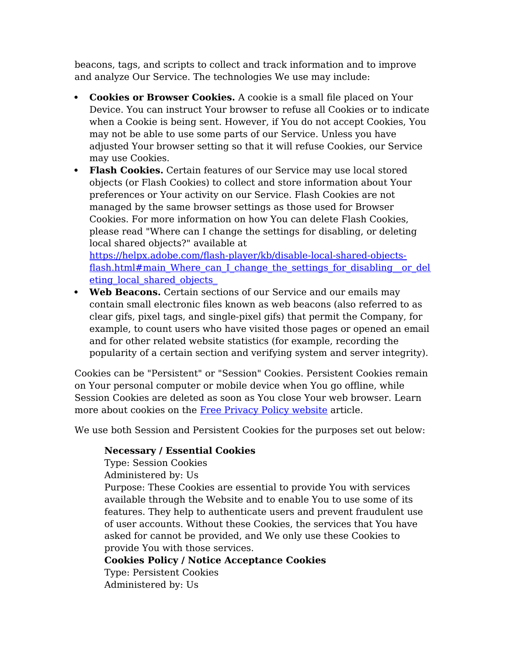beacons, tags, and scripts to collect and track information and to improve and analyze Our Service. The technologies We use may include:

- **Cookies or Browser Cookies.** A cookie is a small file placed on Your Device. You can instruct Your browser to refuse all Cookies or to indicate when a Cookie is being sent. However, if You do not accept Cookies, You may not be able to use some parts of our Service. Unless you have adjusted Your browser setting so that it will refuse Cookies, our Service may use Cookies.
- **Flash Cookies.** Certain features of our Service may use local stored objects (or Flash Cookies) to collect and store information about Your preferences or Your activity on our Service. Flash Cookies are not managed by the same browser settings as those used for Browser Cookies. For more information on how You can delete Flash Cookies, please read "Where can I change the settings for disabling, or deleting local shared objects?" available at [https://helpx.adobe.com/flash-player/kb/disable-local-shared-objects](https://helpx.adobe.com/flash-player/kb/disable-local-shared-objects-flash.html#main_Where_can_I_change_the_settings_for_disabling__or_deleting_local_shared_objects_)flash.html#main\_Where\_can\_I\_change\_the\_settings\_for\_disabling\_or\_del [eting\\_local\\_shared\\_objects\\_](https://helpx.adobe.com/flash-player/kb/disable-local-shared-objects-flash.html#main_Where_can_I_change_the_settings_for_disabling__or_deleting_local_shared_objects_)
- **Web Beacons.** Certain sections of our Service and our emails may contain small electronic files known as web beacons (also referred to as clear gifs, pixel tags, and single-pixel gifs) that permit the Company, for example, to count users who have visited those pages or opened an email and for other related website statistics (for example, recording the popularity of a certain section and verifying system and server integrity).

Cookies can be "Persistent" or "Session" Cookies. Persistent Cookies remain on Your personal computer or mobile device when You go offline, while Session Cookies are deleted as soon as You close Your web browser. Learn more about cookies on the [Free Privacy Policy website](https://www.freeprivacypolicy.com/blog/sample-privacy-policy-template/#Use_Of_Cookies_And_Tracking) article.

We use both Session and Persistent Cookies for the purposes set out below:

### **Necessary / Essential Cookies**

Type: Session Cookies

Administered by: Us

Purpose: These Cookies are essential to provide You with services available through the Website and to enable You to use some of its features. They help to authenticate users and prevent fraudulent use of user accounts. Without these Cookies, the services that You have asked for cannot be provided, and We only use these Cookies to provide You with those services.

**Cookies Policy / Notice Acceptance Cookies**

Type: Persistent Cookies Administered by: Us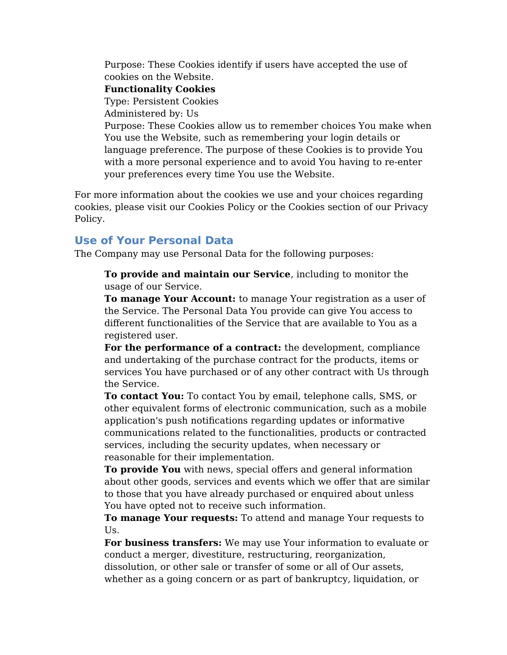Purpose: These Cookies identify if users have accepted the use of cookies on the Website.

**Functionality Cookies**

Type: Persistent Cookies

Administered by: Us

Purpose: These Cookies allow us to remember choices You make when You use the Website, such as remembering your login details or language preference. The purpose of these Cookies is to provide You with a more personal experience and to avoid You having to re-enter your preferences every time You use the Website.

For more information about the cookies we use and your choices regarding cookies, please visit our Cookies Policy or the Cookies section of our Privacy Policy.

### **Use of Your Personal Data**

The Company may use Personal Data for the following purposes:

**To provide and maintain our Service**, including to monitor the usage of our Service.

**To manage Your Account:** to manage Your registration as a user of the Service. The Personal Data You provide can give You access to different functionalities of the Service that are available to You as a registered user.

**For the performance of a contract:** the development, compliance and undertaking of the purchase contract for the products, items or services You have purchased or of any other contract with Us through the Service.

**To contact You:** To contact You by email, telephone calls, SMS, or other equivalent forms of electronic communication, such as a mobile application's push notifications regarding updates or informative communications related to the functionalities, products or contracted services, including the security updates, when necessary or reasonable for their implementation.

**To provide You** with news, special offers and general information about other goods, services and events which we offer that are similar to those that you have already purchased or enquired about unless You have opted not to receive such information.

**To manage Your requests:** To attend and manage Your requests to Us.

**For business transfers:** We may use Your information to evaluate or conduct a merger, divestiture, restructuring, reorganization, dissolution, or other sale or transfer of some or all of Our assets, whether as a going concern or as part of bankruptcy, liquidation, or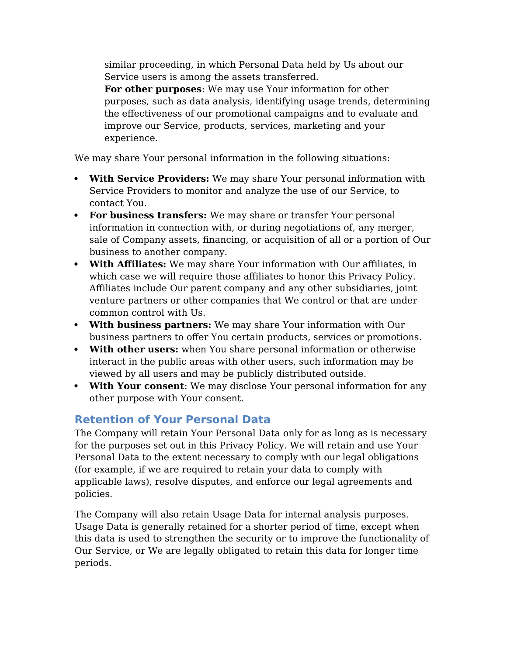similar proceeding, in which Personal Data held by Us about our Service users is among the assets transferred.

**For other purposes**: We may use Your information for other purposes, such as data analysis, identifying usage trends, determining the effectiveness of our promotional campaigns and to evaluate and improve our Service, products, services, marketing and your experience.

We may share Your personal information in the following situations:

- **With Service Providers:** We may share Your personal information with Service Providers to monitor and analyze the use of our Service, to contact You.
- **For business transfers:** We may share or transfer Your personal information in connection with, or during negotiations of, any merger, sale of Company assets, financing, or acquisition of all or a portion of Our business to another company.
- **With Affiliates:** We may share Your information with Our affiliates, in which case we will require those affiliates to honor this Privacy Policy. Affiliates include Our parent company and any other subsidiaries, joint venture partners or other companies that We control or that are under common control with Us.
- **With business partners:** We may share Your information with Our business partners to offer You certain products, services or promotions.
- **With other users:** when You share personal information or otherwise interact in the public areas with other users, such information may be viewed by all users and may be publicly distributed outside.
- **With Your consent**: We may disclose Your personal information for any other purpose with Your consent.

## **Retention of Your Personal Data**

The Company will retain Your Personal Data only for as long as is necessary for the purposes set out in this Privacy Policy. We will retain and use Your Personal Data to the extent necessary to comply with our legal obligations (for example, if we are required to retain your data to comply with applicable laws), resolve disputes, and enforce our legal agreements and policies.

The Company will also retain Usage Data for internal analysis purposes. Usage Data is generally retained for a shorter period of time, except when this data is used to strengthen the security or to improve the functionality of Our Service, or We are legally obligated to retain this data for longer time periods.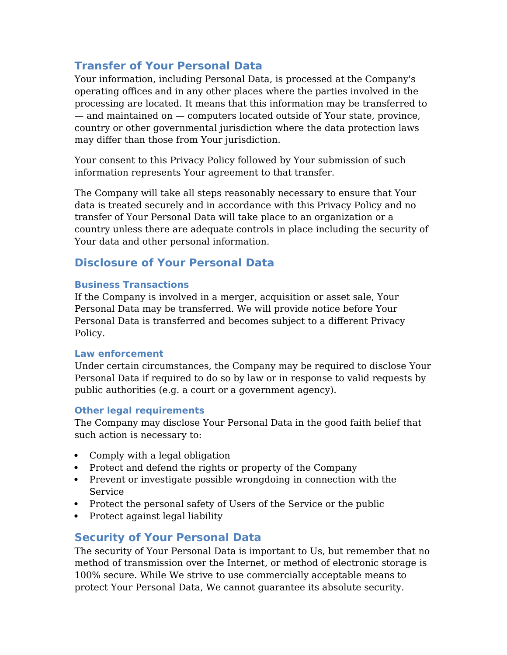## **Transfer of Your Personal Data**

Your information, including Personal Data, is processed at the Company's operating offices and in any other places where the parties involved in the processing are located. It means that this information may be transferred to — and maintained on — computers located outside of Your state, province, country or other governmental jurisdiction where the data protection laws may differ than those from Your jurisdiction.

Your consent to this Privacy Policy followed by Your submission of such information represents Your agreement to that transfer.

The Company will take all steps reasonably necessary to ensure that Your data is treated securely and in accordance with this Privacy Policy and no transfer of Your Personal Data will take place to an organization or a country unless there are adequate controls in place including the security of Your data and other personal information.

## **Disclosure of Your Personal Data**

#### **Business Transactions**

If the Company is involved in a merger, acquisition or asset sale, Your Personal Data may be transferred. We will provide notice before Your Personal Data is transferred and becomes subject to a different Privacy Policy.

#### **Law enforcement**

Under certain circumstances, the Company may be required to disclose Your Personal Data if required to do so by law or in response to valid requests by public authorities (e.g. a court or a government agency).

#### **Other legal requirements**

The Company may disclose Your Personal Data in the good faith belief that such action is necessary to:

- Comply with a legal obligation
- Protect and defend the rights or property of the Company
- Prevent or investigate possible wrongdoing in connection with the Service
- Protect the personal safety of Users of the Service or the public
- Protect against legal liability

### **Security of Your Personal Data**

The security of Your Personal Data is important to Us, but remember that no method of transmission over the Internet, or method of electronic storage is 100% secure. While We strive to use commercially acceptable means to protect Your Personal Data, We cannot guarantee its absolute security.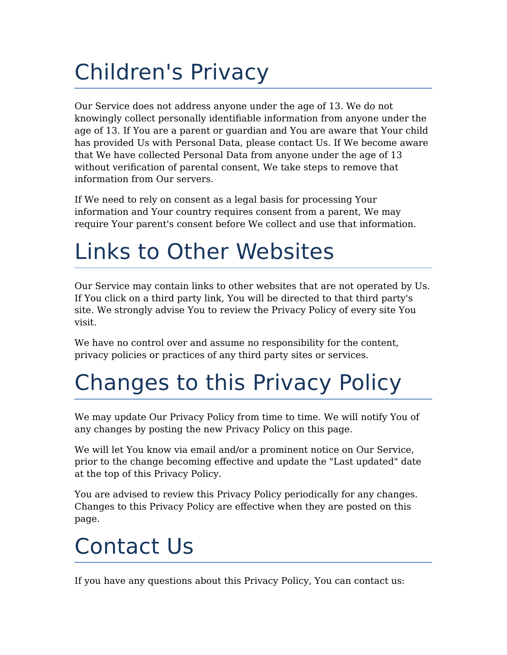# Children's Privacy

Our Service does not address anyone under the age of 13. We do not knowingly collect personally identifiable information from anyone under the age of 13. If You are a parent or guardian and You are aware that Your child has provided Us with Personal Data, please contact Us. If We become aware that We have collected Personal Data from anyone under the age of 13 without verification of parental consent, We take steps to remove that information from Our servers.

If We need to rely on consent as a legal basis for processing Your information and Your country requires consent from a parent, We may require Your parent's consent before We collect and use that information.

## Links to Other Websites

Our Service may contain links to other websites that are not operated by Us. If You click on a third party link, You will be directed to that third party's site. We strongly advise You to review the Privacy Policy of every site You visit.

We have no control over and assume no responsibility for the content, privacy policies or practices of any third party sites or services.

# Changes to this Privacy Policy

We may update Our Privacy Policy from time to time. We will notify You of any changes by posting the new Privacy Policy on this page.

We will let You know via email and/or a prominent notice on Our Service, prior to the change becoming effective and update the "Last updated" date at the top of this Privacy Policy.

You are advised to review this Privacy Policy periodically for any changes. Changes to this Privacy Policy are effective when they are posted on this page.

# Contact Us

If you have any questions about this Privacy Policy, You can contact us: